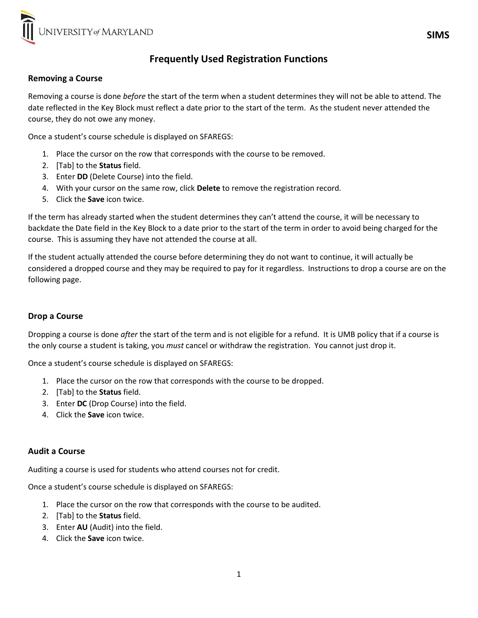

# Frequently Used Registration Functions

### Removing a Course

Removing a course is done *before* the start of the term when a student determines they will not be able to attend. The date reflected in the Key Block must reflect a date prior to the start of the term. As the student never attended the course, they do not owe any money.

Once a student's course schedule is displayed on SFAREGS:

- 1. Place the cursor on the row that corresponds with the course to be removed.
- 2. [Tab] to the **Status** field.
- 3. Enter DD (Delete Course) into the field.
- 4. With your cursor on the same row, click Delete to remove the registration record.
- 5. Click the Save icon twice.

If the term has already started when the student determines they can't attend the course, it will be necessary to backdate the Date field in the Key Block to a date prior to the start of the term in order to avoid being charged for the course. This is assuming they have not attended the course at all.

If the student actually attended the course before determining they do not want to continue, it will actually be considered a dropped course and they may be required to pay for it regardless. Instructions to drop a course are on the following page.

## Drop a Course

Dropping a course is done after the start of the term and is not eligible for a refund. It is UMB policy that if a course is the only course a student is taking, you must cancel or withdraw the registration. You cannot just drop it.

Once a student's course schedule is displayed on SFAREGS:

- 1. Place the cursor on the row that corresponds with the course to be dropped.
- 2. [Tab] to the **Status** field.
- 3. Enter DC (Drop Course) into the field.
- 4. Click the Save icon twice.

### Audit a Course

Auditing a course is used for students who attend courses not for credit.

Once a student's course schedule is displayed on SFAREGS:

- 1. Place the cursor on the row that corresponds with the course to be audited.
- 2. [Tab] to the Status field.
- 3. Enter AU (Audit) into the field.
- 4. Click the Save icon twice.